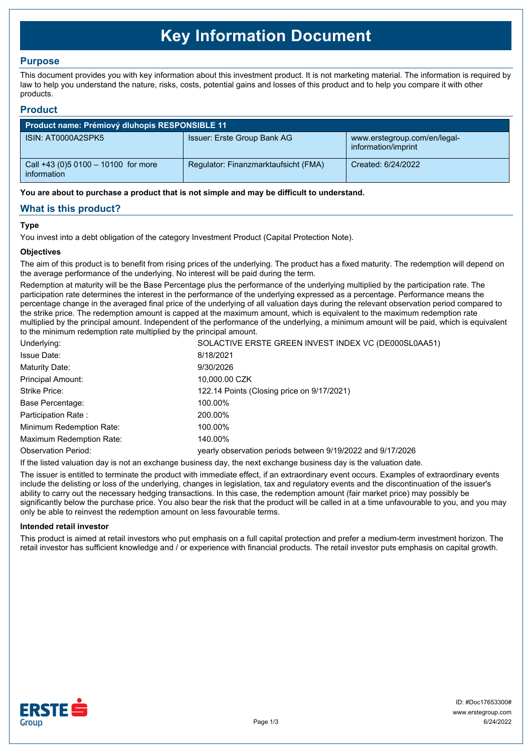# **Key Information Document**

## **Purpose**

This document provides you with key information about this investment product. It is not marketing material. The information is required by law to help you understand the nature, risks, costs, potential gains and losses of this product and to help you compare it with other products.

### **Product**

| <b>Product name: Prémiový dluhopis RESPONSIBLE 11</b> |                                      |                                                     |  |  |
|-------------------------------------------------------|--------------------------------------|-----------------------------------------------------|--|--|
| ISIN: AT0000A2SPK5                                    | Issuer: Erste Group Bank AG          | www.erstegroup.com/en/legal-<br>information/imprint |  |  |
| Call +43 (0) 5 0100 - 10100 for more<br>information   | Regulator: Finanzmarktaufsicht (FMA) | Created: 6/24/2022                                  |  |  |

**You are about to purchase a product that is not simple and may be difficult to understand.**

## **What is this product?**

#### **Type**

You invest into a debt obligation of the category Investment Product (Capital Protection Note).

#### **Objectives**

The aim of this product is to benefit from rising prices of the underlying. The product has a fixed maturity. The redemption will depend on the average performance of the underlying. No interest will be paid during the term.

Redemption at maturity will be the Base Percentage plus the performance of the underlying multiplied by the participation rate. The participation rate determines the interest in the performance of the underlying expressed as a percentage. Performance means the percentage change in the averaged final price of the underlying of all valuation days during the relevant observation period compared to the strike price. The redemption amount is capped at the maximum amount, which is equivalent to the maximum redemption rate multiplied by the principal amount. Independent of the performance of the underlying, a minimum amount will be paid, which is equivalent to the minimum redemption rate multiplied by the principal amount.

| Underlying:                | SOLACTIVE ERSTE GREEN INVEST INDEX VC (DE000SL0AA51)       |  |
|----------------------------|------------------------------------------------------------|--|
| <b>Issue Date:</b>         | 8/18/2021                                                  |  |
| Maturity Date:             | 9/30/2026                                                  |  |
| <b>Principal Amount:</b>   | 10,000.00 CZK                                              |  |
| Strike Price:              | 122.14 Points (Closing price on 9/17/2021)                 |  |
| Base Percentage:           | 100.00%                                                    |  |
| Participation Rate:        | 200.00%                                                    |  |
| Minimum Redemption Rate:   | 100.00%                                                    |  |
| Maximum Redemption Rate:   | 140.00%                                                    |  |
| <b>Observation Period:</b> | yearly observation periods between 9/19/2022 and 9/17/2026 |  |
|                            |                                                            |  |

If the listed valuation day is not an exchange business day, the next exchange business day is the valuation date.

The issuer is entitled to terminate the product with immediate effect, if an extraordinary event occurs. Examples of extraordinary events include the delisting or loss of the underlying, changes in legislation, tax and regulatory events and the discontinuation of the issuer's ability to carry out the necessary hedging transactions. In this case, the redemption amount (fair market price) may possibly be significantly below the purchase price. You also bear the risk that the product will be called in at a time unfavourable to you, and you may only be able to reinvest the redemption amount on less favourable terms.

#### **Intended retail investor**

This product is aimed at retail investors who put emphasis on a full capital protection and prefer a medium-term investment horizon. The retail investor has sufficient knowledge and / or experience with financial products. The retail investor puts emphasis on capital growth.

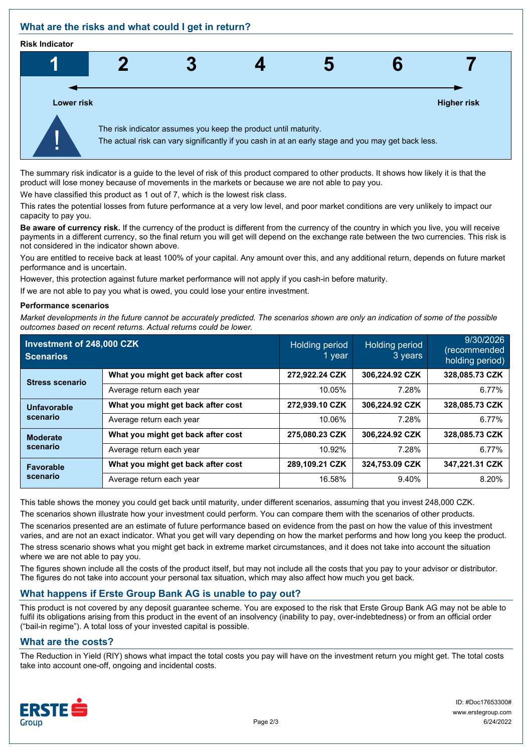## **What are the risks and what could I get in return?**

#### **Risk Indicator**



The summary risk indicator is a guide to the level of risk of this product compared to other products. It shows how likely it is that the product will lose money because of movements in the markets or because we are not able to pay you.

We have classified this product as 1 out of 7, which is the lowest risk class.

This rates the potential losses from future performance at a very low level, and poor market conditions are very unlikely to impact our capacity to pay you.

**Be aware of currency risk.** If the currency of the product is different from the currency of the country in which you live, you will receive payments in a different currency, so the final return you will get will depend on the exchange rate between the two currencies. This risk is not considered in the indicator shown above.

You are entitled to receive back at least 100% of your capital. Any amount over this, and any additional return, depends on future market performance and is uncertain.

However, this protection against future market performance will not apply if you cash-in before maturity.

If we are not able to pay you what is owed, you could lose your entire investment.

#### **Performance scenarios**

*Market developments in the future cannot be accurately predicted. The scenarios shown are only an indication of some of the possible outcomes based on recent returns. Actual returns could be lower.*

| Investment of 248,000 CZK<br><b>Scenarios</b> |                                    | Holding period<br>1 vear | <b>Holding period</b><br>3 years | 9/30/2026<br>(recommended<br>holding period) |
|-----------------------------------------------|------------------------------------|--------------------------|----------------------------------|----------------------------------------------|
| <b>Stress scenario</b>                        | What you might get back after cost | 272,922.24 CZK           | 306,224.92 CZK                   | 328,085.73 CZK                               |
|                                               | Average return each year           | 10.05%                   | 7.28%                            | 6.77%                                        |
| <b>Unfavorable</b><br>scenario                | What you might get back after cost | 272.939.10 CZK           | 306.224.92 CZK                   | 328.085.73 CZK                               |
|                                               | Average return each year           | 10.06%                   | 7.28%                            | 6.77%                                        |
| <b>Moderate</b><br>scenario                   | What you might get back after cost | 275,080.23 CZK           | 306.224.92 CZK                   | 328,085.73 CZK                               |
|                                               | Average return each year           | 10.92%                   | 7.28%                            | 6.77%                                        |
| <b>Favorable</b><br>scenario                  | What you might get back after cost | 289,109.21 CZK           | 324.753.09 CZK                   | 347.221.31 CZK                               |
|                                               | Average return each year           | 16.58%                   | 9.40%                            | 8.20%                                        |

This table shows the money you could get back until maturity, under different scenarios, assuming that you invest 248,000 CZK.

The scenarios shown illustrate how your investment could perform. You can compare them with the scenarios of other products.

The scenarios presented are an estimate of future performance based on evidence from the past on how the value of this investment varies, and are not an exact indicator. What you get will vary depending on how the market performs and how long you keep the product. The stress scenario shows what you might get back in extreme market circumstances, and it does not take into account the situation where we are not able to pay you.

The figures shown include all the costs of the product itself, but may not include all the costs that you pay to your advisor or distributor. The figures do not take into account your personal tax situation, which may also affect how much you get back.

## **What happens if Erste Group Bank AG is unable to pay out?**

This product is not covered by any deposit guarantee scheme. You are exposed to the risk that Erste Group Bank AG may not be able to fulfil its obligations arising from this product in the event of an insolvency (inability to pay, over-indebtedness) or from an official order ("bail-in regime"). A total loss of your invested capital is possible.

#### **What are the costs?**

The Reduction in Yield (RIY) shows what impact the total costs you pay will have on the investment return you might get. The total costs take into account one-off, ongoing and incidental costs.